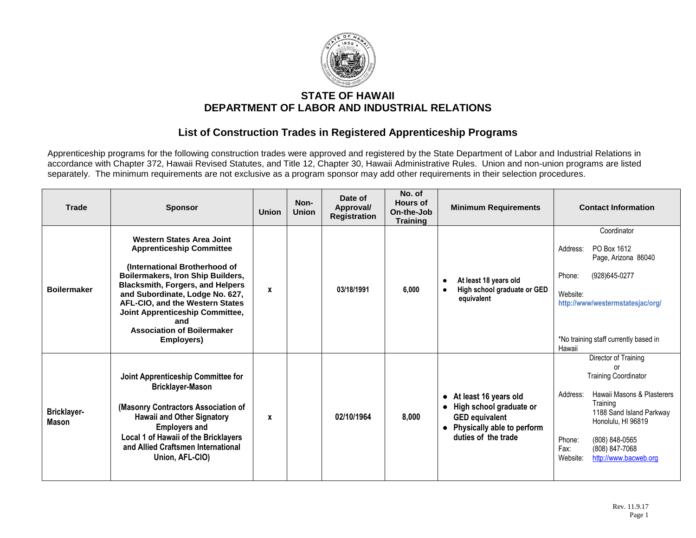

## **STATE OF HAWAII DEPARTMENT OF LABOR AND INDUSTRIAL RELATIONS**

## **List of Construction Trades in Registered Apprenticeship Programs**

Apprenticeship programs for the following construction trades were approved and registered by the State Department of Labor and Industrial Relations in accordance with Chapter 372, Hawaii Revised Statutes, and Title 12, Chapter 30, Hawaii Administrative Rules. Union and non-union programs are listed separately. The minimum requirements are not exclusive as a program sponsor may add other requirements in their selection procedures.

| <b>Trade</b>                | <b>Sponsor</b>                                                                                                                                                                                                                                                                                                                                          | <b>Union</b> | Non-<br><b>Union</b> | Date of<br>Approval/<br><b>Registration</b> | No. of<br>Hours of<br>On-the-Job<br><b>Training</b> | <b>Minimum Requirements</b>                                                                                                                                           | <b>Contact Information</b>                                                                                                                                                                                                                                  |
|-----------------------------|---------------------------------------------------------------------------------------------------------------------------------------------------------------------------------------------------------------------------------------------------------------------------------------------------------------------------------------------------------|--------------|----------------------|---------------------------------------------|-----------------------------------------------------|-----------------------------------------------------------------------------------------------------------------------------------------------------------------------|-------------------------------------------------------------------------------------------------------------------------------------------------------------------------------------------------------------------------------------------------------------|
| <b>Boilermaker</b>          | <b>Western States Area Joint</b><br><b>Apprenticeship Committee</b><br>(International Brotherhood of<br>Boilermakers, Iron Ship Builders,<br><b>Blacksmith, Forgers, and Helpers</b><br>and Subordinate, Lodge No. 627,<br>AFL-CIO, and the Western States<br>Joint Apprenticeship Committee,<br>and<br><b>Association of Boilermaker</b><br>Employers) | x            |                      | 03/18/1991                                  | 6,000                                               | At least 18 years old<br>$\bullet$<br>High school graduate or GED<br>equivalent                                                                                       | Coordinator<br>PO Box 1612<br>Address:<br>Page, Arizona 86040<br>Phone:<br>(928)645-0277<br>Website:<br>http://www/westermstatesjac/org/<br>*No training staff currently based in<br>Hawaii                                                                 |
| Bricklayer-<br><b>Mason</b> | Joint Apprenticeship Committee for<br><b>Bricklayer-Mason</b><br>(Masonry Contractors Association of<br><b>Hawaii and Other Signatory</b><br><b>Employers and</b><br>Local 1 of Hawaii of the Bricklayers<br>and Allied Craftsmen International<br>Union, AFL-CIO)                                                                                      | X            |                      | 02/10/1964                                  | 8,000                                               | At least 16 years old<br>$\bullet$<br>High school graduate or<br>$\bullet$<br><b>GED equivalent</b><br>Physically able to perform<br>$\bullet$<br>duties of the trade | Director of Training<br>വ<br><b>Training Coordinator</b><br>Hawaii Masons & Plasterers<br>Address:<br>Training<br>1188 Sand Island Parkway<br>Honolulu, HI 96819<br>Phone:<br>(808) 848-0565<br>Fax:<br>(808) 847-7068<br>Website:<br>http://www.bacweb.org |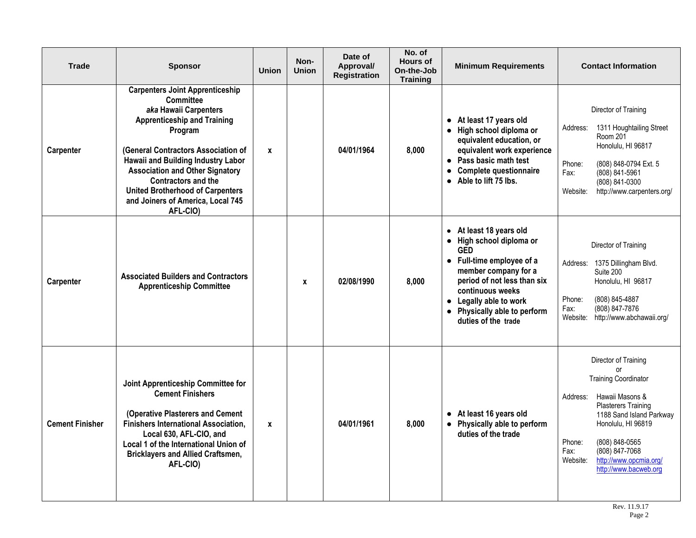| <b>Trade</b>           | <b>Sponsor</b>                                                                                                                                                                                                                                                                                                                                                                        | <b>Union</b> | Non-<br><b>Union</b> | Date of<br>Approval/<br><b>Registration</b> | No. of<br><b>Hours of</b><br>On-the-Job<br><b>Training</b> | <b>Minimum Requirements</b>                                                                                                                                                                                                                                           | <b>Contact Information</b>                                                                                                                                                                                                                                                                    |
|------------------------|---------------------------------------------------------------------------------------------------------------------------------------------------------------------------------------------------------------------------------------------------------------------------------------------------------------------------------------------------------------------------------------|--------------|----------------------|---------------------------------------------|------------------------------------------------------------|-----------------------------------------------------------------------------------------------------------------------------------------------------------------------------------------------------------------------------------------------------------------------|-----------------------------------------------------------------------------------------------------------------------------------------------------------------------------------------------------------------------------------------------------------------------------------------------|
| Carpenter              | <b>Carpenters Joint Apprenticeship</b><br><b>Committee</b><br>aka Hawaii Carpenters<br><b>Apprenticeship and Training</b><br>Program<br>(General Contractors Association of<br>Hawaii and Building Industry Labor<br><b>Association and Other Signatory</b><br><b>Contractors and the</b><br><b>United Brotherhood of Carpenters</b><br>and Joiners of America, Local 745<br>AFL-CIO) | $\mathbf{x}$ |                      | 04/01/1964                                  | 8,000                                                      | At least 17 years old<br>$\bullet$<br>• High school diploma or<br>equivalent education, or<br>equivalent work experience<br>• Pass basic math test<br><b>Complete questionnaire</b><br>$\bullet$<br>Able to lift 75 lbs.<br>$\bullet$                                 | Director of Training<br>1311 Houghtailing Street<br>Address:<br>Room 201<br>Honolulu, HI 96817<br>Phone:<br>(808) 848-0794 Ext. 5<br>(808) 841-5961<br>Fax:<br>(808) 841-0300<br>http://www.carpenters.org/<br>Website:                                                                       |
| Carpenter              | <b>Associated Builders and Contractors</b><br><b>Apprenticeship Committee</b>                                                                                                                                                                                                                                                                                                         |              | X                    | 02/08/1990                                  | 8.000                                                      | • At least 18 years old<br>High school diploma or<br>$\bullet$<br><b>GED</b><br>• Full-time employee of a<br>member company for a<br>period of not less than six<br>continuous weeks<br>• Legally able to work<br>• Physically able to perform<br>duties of the trade | Director of Training<br>Address:<br>1375 Dillingham Blvd.<br>Suite 200<br>Honolulu, HI 96817<br>Phone:<br>(808) 845-4887<br>(808) 847-7876<br>Fax:<br>http://www.abchawaii.org/<br>Website:                                                                                                   |
| <b>Cement Finisher</b> | Joint Apprenticeship Committee for<br><b>Cement Finishers</b><br>(Operative Plasterers and Cement<br><b>Finishers International Association,</b><br>Local 630, AFL-CIO, and<br>Local 1 of the International Union of<br><b>Bricklayers and Allied Craftsmen,</b><br>AFL-CIO)                                                                                                          | $\pmb{\chi}$ |                      | 04/01/1961                                  | 8,000                                                      | • At least 16 years old<br>Physically able to perform<br>$\bullet$<br>duties of the trade                                                                                                                                                                             | Director of Training<br>or<br><b>Training Coordinator</b><br>Hawaii Masons &<br>Address:<br><b>Plasterers Training</b><br>1188 Sand Island Parkway<br>Honolulu, HI 96819<br>Phone:<br>(808) 848-0565<br>(808) 847-7068<br>Fax:<br>http://www.opcmia.org/<br>Website:<br>http://www.bacweb.org |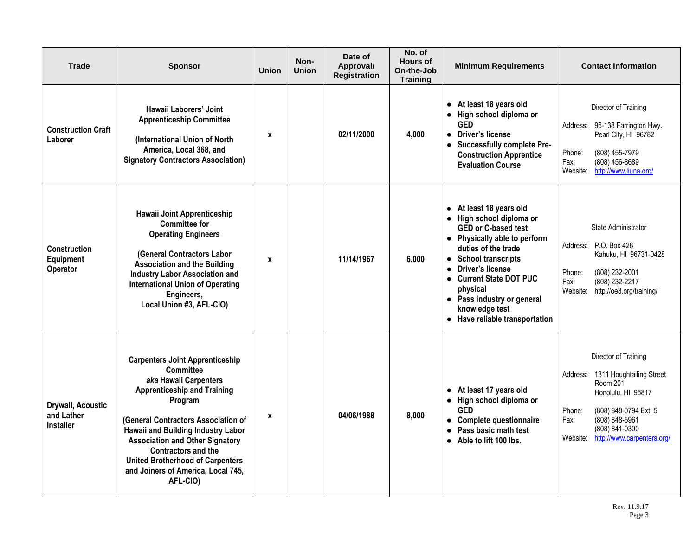| <b>Trade</b>                                               | <b>Sponsor</b>                                                                                                                                                                                                                                                                                                                                                                         | <b>Union</b> | Non-<br><b>Union</b> | Date of<br>Approval/<br><b>Registration</b> | No. of<br><b>Hours of</b><br>On-the-Job<br><b>Training</b> | <b>Minimum Requirements</b>                                                                                                                                                                                                                                                                                          | <b>Contact Information</b>                                                                                                                                                                                                     |
|------------------------------------------------------------|----------------------------------------------------------------------------------------------------------------------------------------------------------------------------------------------------------------------------------------------------------------------------------------------------------------------------------------------------------------------------------------|--------------|----------------------|---------------------------------------------|------------------------------------------------------------|----------------------------------------------------------------------------------------------------------------------------------------------------------------------------------------------------------------------------------------------------------------------------------------------------------------------|--------------------------------------------------------------------------------------------------------------------------------------------------------------------------------------------------------------------------------|
| <b>Construction Craft</b><br>Laborer                       | Hawaii Laborers' Joint<br><b>Apprenticeship Committee</b><br>(International Union of North<br>America, Local 368, and<br><b>Signatory Contractors Association)</b>                                                                                                                                                                                                                     | X            |                      | 02/11/2000                                  | 4,000                                                      | • At least 18 years old<br>• High school diploma or<br><b>GED</b><br>• Driver's license<br>• Successfully complete Pre-<br><b>Construction Apprentice</b><br><b>Evaluation Course</b>                                                                                                                                | Director of Training<br>96-138 Farrington Hwy.<br>Address:<br>Pearl City, HI 96782<br>Phone:<br>(808) 455-7979<br>$(808)$ 456-8689<br>Fax:<br>http://www.liuna.org/<br>Website:                                                |
| Construction<br>Equipment<br>Operator                      | Hawaii Joint Apprenticeship<br><b>Committee for</b><br><b>Operating Engineers</b><br>(General Contractors Labor<br><b>Association and the Building</b><br><b>Industry Labor Association and</b><br><b>International Union of Operating</b><br>Engineers,<br>Local Union #3, AFL-CIO)                                                                                                   | $\mathbf{x}$ |                      | 11/14/1967                                  | 6,000                                                      | • At least 18 years old<br>• High school diploma or<br><b>GED or C-based test</b><br>• Physically able to perform<br>duties of the trade<br>• School transcripts<br><b>Driver's license</b><br>• Current State DOT PUC<br>physical<br>• Pass industry or general<br>knowledge test<br>• Have reliable transportation | <b>State Administrator</b><br>Address: P.O. Box 428<br>Kahuku, HI 96731-0428<br>(808) 232-2001<br>Phone:<br>(808) 232-2217<br>Fax:<br>Website:<br>http://oe3.org/training/                                                     |
| <b>Drywall, Acoustic</b><br>and Lather<br><b>Installer</b> | <b>Carpenters Joint Apprenticeship</b><br><b>Committee</b><br>aka Hawaii Carpenters<br><b>Apprenticeship and Training</b><br>Program<br>(General Contractors Association of<br>Hawaii and Building Industry Labor<br><b>Association and Other Signatory</b><br><b>Contractors and the</b><br><b>United Brotherhood of Carpenters</b><br>and Joiners of America, Local 745,<br>AFL-CIO) | $\mathbf{x}$ |                      | 04/06/1988                                  | 8,000                                                      | • At least 17 years old<br>• High school diploma or<br><b>GED</b><br>• Complete questionnaire<br>Pass basic math test<br>$\bullet$<br>• Able to lift 100 lbs.                                                                                                                                                        | Director of Training<br>1311 Houghtailing Street<br>Address:<br><b>Room 201</b><br>Honolulu, HI 96817<br>(808) 848-0794 Ext. 5<br>Phone:<br>Fax:<br>(808) 848-5961<br>(808) 841-0300<br>Website:<br>http://www.carpenters.org/ |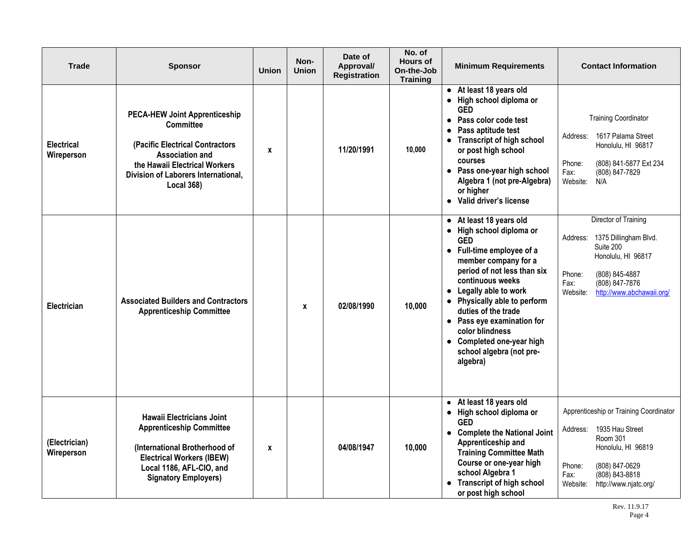| <b>Trade</b>                    | <b>Sponsor</b>                                                                                                                                                                                                     | <b>Union</b> | Non-<br><b>Union</b> | Date of<br>Approval/<br><b>Registration</b> | No. of<br><b>Hours of</b><br>On-the-Job<br><b>Training</b> | <b>Minimum Requirements</b>                                                                                                                                                                                                                                                                                                                                                      | <b>Contact Information</b>                                                                                                                                                                         |
|---------------------------------|--------------------------------------------------------------------------------------------------------------------------------------------------------------------------------------------------------------------|--------------|----------------------|---------------------------------------------|------------------------------------------------------------|----------------------------------------------------------------------------------------------------------------------------------------------------------------------------------------------------------------------------------------------------------------------------------------------------------------------------------------------------------------------------------|----------------------------------------------------------------------------------------------------------------------------------------------------------------------------------------------------|
| <b>Electrical</b><br>Wireperson | <b>PECA-HEW Joint Apprenticeship</b><br><b>Committee</b><br>(Pacific Electrical Contractors<br><b>Association and</b><br>the Hawaii Electrical Workers<br>Division of Laborers International,<br><b>Local 368)</b> | $\mathbf x$  |                      | 11/20/1991                                  | 10,000                                                     | • At least 18 years old<br>• High school diploma or<br><b>GED</b><br>Pass color code test<br>Pass aptitude test<br>$\bullet$<br>• Transcript of high school<br>or post high school<br>courses<br>• Pass one-year high school<br>Algebra 1 (not pre-Algebra)<br>or higher<br>• Valid driver's license                                                                             | <b>Training Coordinator</b><br>1617 Palama Street<br>Address:<br>Honolulu, HI 96817<br>Phone:<br>(808) 841-5877 Ext 234<br>Fax:<br>(808) 847-7829<br>Website:<br>N/A                               |
| Electrician                     | <b>Associated Builders and Contractors</b><br><b>Apprenticeship Committee</b>                                                                                                                                      |              | $\mathbf{x}$         | 02/08/1990                                  | 10,000                                                     | • At least 18 years old<br>• High school diploma or<br><b>GED</b><br>• Full-time employee of a<br>member company for a<br>period of not less than six<br>continuous weeks<br>• Legally able to work<br>• Physically able to perform<br>duties of the trade<br>• Pass eye examination for<br>color blindness<br>• Completed one-year high<br>school algebra (not pre-<br>algebra) | Director of Training<br>1375 Dillingham Blvd.<br>Address:<br>Suite 200<br>Honolulu, HI 96817<br>Phone:<br>(808) 845-4887<br>Fax:<br>(808) 847-7876<br>Website:<br>http://www.abchawaii.org/        |
| (Electrician)<br>Wireperson     | <b>Hawaii Electricians Joint</b><br><b>Apprenticeship Committee</b><br>(International Brotherhood of<br><b>Electrical Workers (IBEW)</b><br>Local 1186, AFL-CIO, and<br><b>Signatory Employers)</b>                | $\mathbf x$  |                      | 04/08/1947                                  | 10,000                                                     | • At least 18 years old<br>• High school diploma or<br><b>GED</b><br>• Complete the National Joint<br>Apprenticeship and<br><b>Training Committee Math</b><br>Course or one-year high<br>school Algebra 1<br><b>Transcript of high school</b><br>or post high school                                                                                                             | Apprenticeship or Training Coordinator<br>1935 Hau Street<br>Address:<br>Room 301<br>Honolulu, HI 96819<br>Phone:<br>(808) 847-0629<br>(808) 843-8818<br>Fax:<br>Website:<br>http://www.njatc.org/ |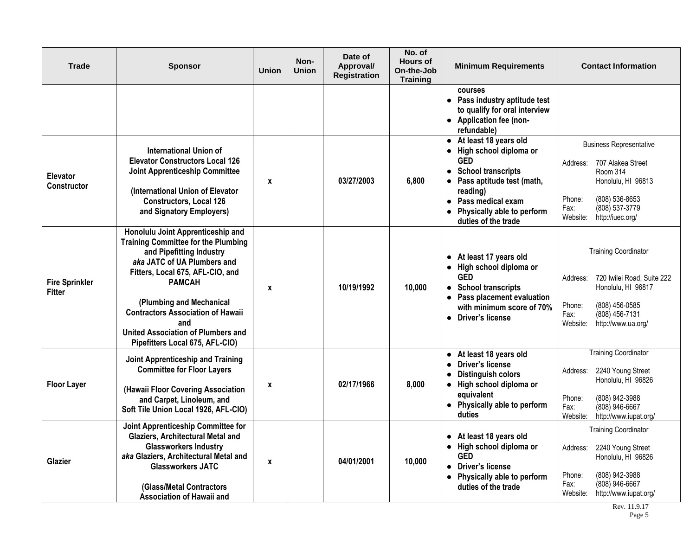| <b>Trade</b>                           | <b>Sponsor</b>                                                                                                                                                                                                                                                                                                                                                 | <b>Union</b>       | Non-<br><b>Union</b> | Date of<br>Approval/<br><b>Registration</b> | No. of<br><b>Hours of</b><br>On-the-Job<br><b>Training</b> | <b>Minimum Requirements</b>                                                                                                                                                                                               | <b>Contact Information</b>                                                                                                                                                              |
|----------------------------------------|----------------------------------------------------------------------------------------------------------------------------------------------------------------------------------------------------------------------------------------------------------------------------------------------------------------------------------------------------------------|--------------------|----------------------|---------------------------------------------|------------------------------------------------------------|---------------------------------------------------------------------------------------------------------------------------------------------------------------------------------------------------------------------------|-----------------------------------------------------------------------------------------------------------------------------------------------------------------------------------------|
|                                        |                                                                                                                                                                                                                                                                                                                                                                |                    |                      |                                             |                                                            | courses<br>• Pass industry aptitude test<br>to qualify for oral interview<br>• Application fee (non-<br>refundable)                                                                                                       |                                                                                                                                                                                         |
| Elevator<br><b>Constructor</b>         | International Union of<br><b>Elevator Constructors Local 126</b><br><b>Joint Apprenticeship Committee</b><br>(International Union of Elevator<br><b>Constructors, Local 126</b><br>and Signatory Employers)                                                                                                                                                    | X                  |                      | 03/27/2003                                  | 6,800                                                      | • At least 18 years old<br>High school diploma or<br>$\bullet$<br><b>GED</b><br>• School transcripts<br>Pass aptitude test (math,<br>reading)<br>• Pass medical exam<br>Physically able to perform<br>duties of the trade | <b>Business Representative</b><br>707 Alakea Street<br>Address:<br>Room 314<br>Honolulu, HI 96813<br>Phone:<br>(808) 536-8653<br>(808) 537-3779<br>Fax:<br>http://iuec.org/<br>Website: |
| <b>Fire Sprinkler</b><br><b>Fitter</b> | Honolulu Joint Apprenticeship and<br><b>Training Committee for the Plumbing</b><br>and Pipefitting Industry<br>aka JATC of UA Plumbers and<br>Fitters, Local 675, AFL-CIO, and<br><b>PAMCAH</b><br>(Plumbing and Mechanical<br><b>Contractors Association of Hawaii</b><br>and<br><b>United Association of Plumbers and</b><br>Pipefitters Local 675, AFL-CIO) | X                  |                      | 10/19/1992                                  | 10,000                                                     | • At least 17 years old<br>High school diploma or<br>$\bullet$<br><b>GED</b><br>• School transcripts<br>Pass placement evaluation<br>with minimum score of 70%<br>• Driver's license                                      | <b>Training Coordinator</b><br>720 Iwilei Road, Suite 222<br>Address:<br>Honolulu, HI 96817<br>Phone:<br>(808) 456-0585<br>(808) 456-7131<br>Fax:<br>Website:<br>http://www.ua.org/     |
| <b>Floor Layer</b>                     | Joint Apprenticeship and Training<br><b>Committee for Floor Layers</b><br>(Hawaii Floor Covering Association<br>and Carpet, Linoleum, and<br>Soft Tile Union Local 1926, AFL-CIO)                                                                                                                                                                              | $\pmb{\mathsf{x}}$ |                      | 02/17/1966                                  | 8,000                                                      | • At least 18 years old<br><b>Driver's license</b><br><b>Distinguish colors</b><br>• High school diploma or<br>equivalent<br>Physically able to perform<br>$\bullet$<br>duties                                            | <b>Training Coordinator</b><br>2240 Young Street<br>Address:<br>Honolulu, HI 96826<br>Phone:<br>(808) 942-3988<br>Fax:<br>(808) 946-6667<br>http://www.iupat.org/<br>Website:           |
| Glazier                                | Joint Apprenticeship Committee for<br>Glaziers, Architectural Metal and<br><b>Glassworkers Industry</b><br>aka Glaziers, Architectural Metal and<br><b>Glassworkers JATC</b><br>(Glass/Metal Contractors<br>Association of Hawaii and                                                                                                                          | $\boldsymbol{x}$   |                      | 04/01/2001                                  | 10,000                                                     | • At least 18 years old<br>High school diploma or<br>$\bullet$<br><b>GED</b><br><b>Driver's license</b><br>$\bullet$<br>• Physically able to perform<br>duties of the trade                                               | Training Coordinator<br>2240 Young Street<br>Address:<br>Honolulu, HI 96826<br>(808) 942-3988<br>Phone:<br>Fax:<br>(808) 946-6667<br>Website:<br>http://www.iupat.org/                  |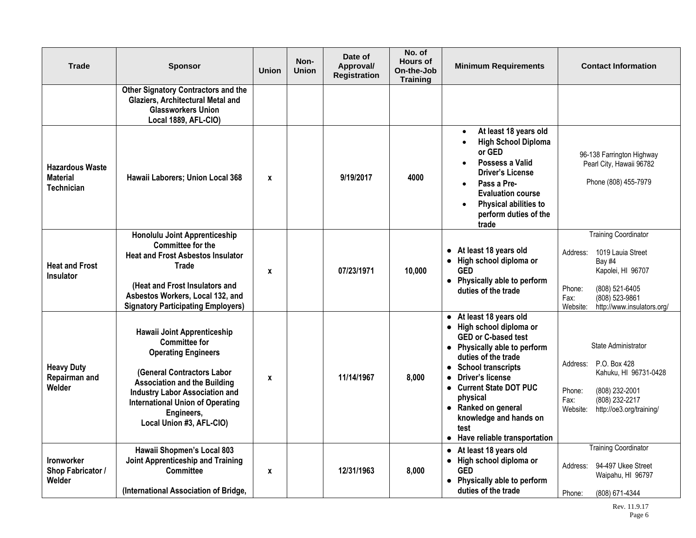| <b>Trade</b>                                                   | <b>Sponsor</b>                                                                                                                                                                                                                                                                              | <b>Union</b>     | Non-<br><b>Union</b> | Date of<br>Approval/<br><b>Registration</b> | No. of<br><b>Hours of</b><br>On-the-Job<br><b>Training</b> | <b>Minimum Requirements</b>                                                                                                                                                                                                                                                                                                                                                 | <b>Contact Information</b>                                                                                                                                                                  |
|----------------------------------------------------------------|---------------------------------------------------------------------------------------------------------------------------------------------------------------------------------------------------------------------------------------------------------------------------------------------|------------------|----------------------|---------------------------------------------|------------------------------------------------------------|-----------------------------------------------------------------------------------------------------------------------------------------------------------------------------------------------------------------------------------------------------------------------------------------------------------------------------------------------------------------------------|---------------------------------------------------------------------------------------------------------------------------------------------------------------------------------------------|
|                                                                | <b>Other Signatory Contractors and the</b><br>Glaziers, Architectural Metal and<br><b>Glassworkers Union</b><br>Local 1889, AFL-CIO)                                                                                                                                                        |                  |                      |                                             |                                                            |                                                                                                                                                                                                                                                                                                                                                                             |                                                                                                                                                                                             |
| <b>Hazardous Waste</b><br><b>Material</b><br><b>Technician</b> | Hawaii Laborers; Union Local 368                                                                                                                                                                                                                                                            | $\boldsymbol{x}$ |                      | 9/19/2017                                   | 4000                                                       | At least 18 years old<br>$\bullet$<br><b>High School Diploma</b><br>or GED<br>Possess a Valid<br><b>Driver's License</b><br>Pass a Pre-<br>$\bullet$<br><b>Evaluation course</b><br>Physical abilities to<br>perform duties of the<br>trade                                                                                                                                 | 96-138 Farrington Highway<br>Pearl City, Hawaii 96782<br>Phone (808) 455-7979                                                                                                               |
| <b>Heat and Frost</b><br>Insulator                             | Honolulu Joint Apprenticeship<br><b>Committee for the</b><br><b>Heat and Frost Asbestos Insulator</b><br><b>Trade</b><br>(Heat and Frost Insulators and<br>Asbestos Workers, Local 132, and<br><b>Signatory Participating Employers)</b>                                                    | $\mathbf{x}$     |                      | 07/23/1971                                  | 10,000                                                     | • At least 18 years old<br>High school diploma or<br>$\bullet$<br><b>GED</b><br>• Physically able to perform<br>duties of the trade                                                                                                                                                                                                                                         | <b>Training Coordinator</b><br>1019 Lauia Street<br>Address:<br>Bay #4<br>Kapolei, HI 96707<br>Phone:<br>(808) 521-6405<br>(808) 523-9861<br>Fax:<br>http://www.insulators.org/<br>Website: |
| <b>Heavy Duty</b><br>Repairman and<br>Welder                   | <b>Hawaii Joint Apprenticeship</b><br><b>Committee for</b><br><b>Operating Engineers</b><br>(General Contractors Labor<br><b>Association and the Building</b><br><b>Industry Labor Association and</b><br><b>International Union of Operating</b><br>Engineers,<br>Local Union #3, AFL-CIO) | X                |                      | 11/14/1967                                  | 8,000                                                      | At least 18 years old<br>$\bullet$<br>• High school diploma or<br><b>GED or C-based test</b><br>• Physically able to perform<br>duties of the trade<br><b>School transcripts</b><br>$\bullet$<br>Driver's license<br>$\bullet$<br>• Current State DOT PUC<br>physical<br>• Ranked on general<br>knowledge and hands on<br>test<br>Have reliable transportation<br>$\bullet$ | State Administrator<br>P.O. Box 428<br>Address:<br>Kahuku, HI 96731-0428<br>Phone:<br>(808) 232-2001<br>(808) 232-2217<br>Fax:<br>Website:<br>http://oe3.org/training/                      |
| <b>Ironworker</b><br>Shop Fabricator /<br>Welder               | Hawaii Shopmen's Local 803<br>Joint Apprenticeship and Training<br>Committee<br>(International Association of Bridge,                                                                                                                                                                       | X                |                      | 12/31/1963                                  | 8,000                                                      | At least 18 years old<br>$\bullet$<br>• High school diploma or<br><b>GED</b><br>• Physically able to perform<br>duties of the trade                                                                                                                                                                                                                                         | <b>Training Coordinator</b><br>94-497 Ukee Street<br>Address:<br>Waipahu, HI 96797<br>Phone:<br>(808) 671-4344                                                                              |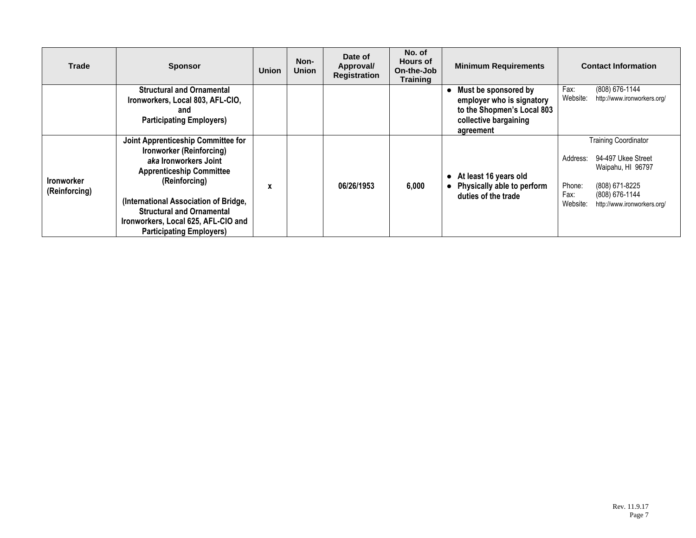| <b>Trade</b>                       | <b>Sponsor</b>                                                                                                                                                                                                                                                                                     | <b>Union</b> | Non-<br><b>Union</b> | Date of<br>Approval/<br><b>Registration</b> | No. of<br><b>Hours of</b><br>On-the-Job<br><b>Training</b> | <b>Minimum Requirements</b>                                                                                           | <b>Contact Information</b>                                                                                                                                                          |
|------------------------------------|----------------------------------------------------------------------------------------------------------------------------------------------------------------------------------------------------------------------------------------------------------------------------------------------------|--------------|----------------------|---------------------------------------------|------------------------------------------------------------|-----------------------------------------------------------------------------------------------------------------------|-------------------------------------------------------------------------------------------------------------------------------------------------------------------------------------|
|                                    | <b>Structural and Ornamental</b><br>Ironworkers, Local 803, AFL-CIO,<br>and<br><b>Participating Employers)</b>                                                                                                                                                                                     |              |                      |                                             |                                                            | Must be sponsored by<br>employer who is signatory<br>to the Shopmen's Local 803<br>collective bargaining<br>agreement | (808) 676-1144<br>Fax:<br>Website:<br>http://www.ironworkers.org/                                                                                                                   |
| <b>Ironworker</b><br>(Reinforcing) | Joint Apprenticeship Committee for<br>Ironworker (Reinforcing)<br>aka Ironworkers Joint<br><b>Apprenticeship Committee</b><br>(Reinforcing)<br>(International Association of Bridge,<br><b>Structural and Ornamental</b><br>Ironworkers, Local 625, AFL-CIO and<br><b>Participating Employers)</b> | X            |                      | 06/26/1953                                  | 6,000                                                      | At least 16 years old<br>Physically able to perform<br>$\bullet$<br>duties of the trade                               | <b>Training Coordinator</b><br>94-497 Ukee Street<br>Address:<br>Waipahu, HI 96797<br>(808) 671-8225<br>Phone:<br>Fax:<br>(808) 676-1144<br>Website:<br>http://www.ironworkers.org/ |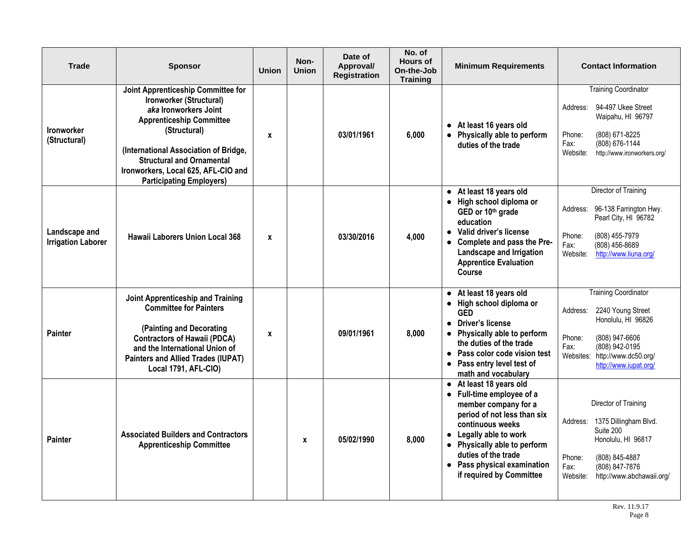| <b>Trade</b>                               | <b>Sponsor</b>                                                                                                                                                                                                                                                                                   | <b>Union</b> | Non-<br><b>Union</b> | Date of<br>Approval/<br><b>Registration</b> | No. of<br><b>Hours of</b><br>On-the-Job<br><b>Training</b> | <b>Minimum Requirements</b>                                                                                                                                                                                                                                                                       | <b>Contact Information</b>                                                                                                                                                                             |
|--------------------------------------------|--------------------------------------------------------------------------------------------------------------------------------------------------------------------------------------------------------------------------------------------------------------------------------------------------|--------------|----------------------|---------------------------------------------|------------------------------------------------------------|---------------------------------------------------------------------------------------------------------------------------------------------------------------------------------------------------------------------------------------------------------------------------------------------------|--------------------------------------------------------------------------------------------------------------------------------------------------------------------------------------------------------|
| Ironworker<br>(Structural)                 | Joint Apprenticeship Committee for<br>Ironworker (Structural)<br>aka Ironworkers Joint<br><b>Apprenticeship Committee</b><br>(Structural)<br>(International Association of Bridge,<br><b>Structural and Ornamental</b><br>Ironworkers, Local 625, AFL-CIO and<br><b>Participating Employers)</b> | X            |                      | 03/01/1961                                  | 6,000                                                      | • At least 16 years old<br>• Physically able to perform<br>duties of the trade                                                                                                                                                                                                                    | <b>Training Coordinator</b><br>94-497 Ukee Street<br>Address:<br>Waipahu, HI 96797<br>Phone:<br>(808) 671-8225<br>(808) 676-1144<br>Fax:<br>Website:<br>http://www.ironworkers.org/                    |
| Landscape and<br><b>Irrigation Laborer</b> | <b>Hawaii Laborers Union Local 368</b>                                                                                                                                                                                                                                                           | $\mathbf{x}$ |                      | 03/30/2016                                  | 4,000                                                      | At least 18 years old<br>$\bullet$<br>• High school diploma or<br>GED or 10th grade<br>education<br>Valid driver's license<br>$\bullet$<br>• Complete and pass the Pre-<br>Landscape and Irrigation<br><b>Apprentice Evaluation</b><br>Course                                                     | Director of Training<br>96-138 Farrington Hwy.<br>Address:<br>Pearl City, HI 96782<br>Phone:<br>(808) 455-7979<br>Fax:<br>$(808)$ 456-8689<br>http://www.liuna.org/<br>Website:                        |
| <b>Painter</b>                             | Joint Apprenticeship and Training<br><b>Committee for Painters</b><br>(Painting and Decorating<br><b>Contractors of Hawaii (PDCA)</b><br>and the International Union of<br><b>Painters and Allied Trades (IUPAT)</b><br>Local 1791, AFL-CIO)                                                     | X            |                      | 09/01/1961                                  | 8,000                                                      | At least 18 years old<br>$\bullet$<br>• High school diploma or<br><b>GED</b><br><b>Driver's license</b><br>$\bullet$<br>• Physically able to perform<br>the duties of the trade<br>• Pass color code vision test<br>• Pass entry level test of<br>math and vocabulary                             | <b>Training Coordinator</b><br>Address:<br>2240 Young Street<br>Honolulu, HI 96826<br>Phone:<br>(808) 947-6606<br>Fax:<br>(808) 942-0195<br>Websites:<br>http://www.dc50.org/<br>http://www.iupat.org/ |
| <b>Painter</b>                             | <b>Associated Builders and Contractors</b><br><b>Apprenticeship Committee</b>                                                                                                                                                                                                                    |              | $\mathbf{x}$         | 05/02/1990                                  | 8,000                                                      | • At least 18 years old<br>• Full-time employee of a<br>member company for a<br>period of not less than six<br>continuous weeks<br>Legally able to work<br>$\bullet$<br>Physically able to perform<br>$\bullet$<br>duties of the trade<br>• Pass physical examination<br>if required by Committee | Director of Training<br>1375 Dillingham Blvd.<br>Address:<br>Suite 200<br>Honolulu, HI 96817<br>Phone:<br>(808) 845-4887<br>Fax:<br>(808) 847-7876<br>Website:<br>http://www.abchawaii.org/            |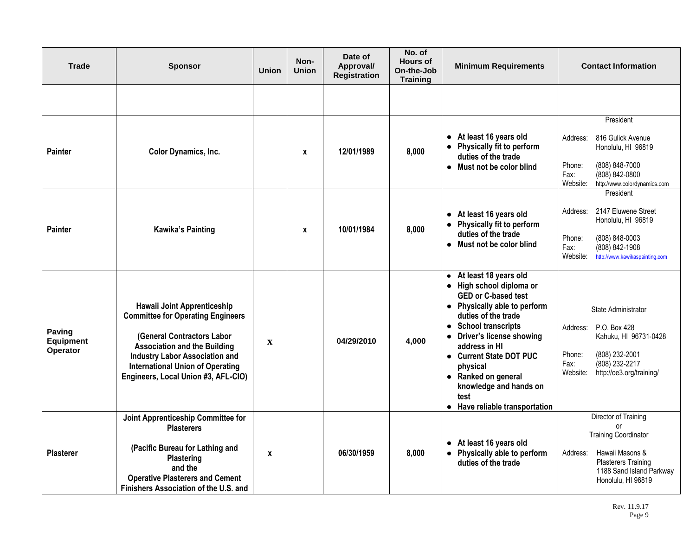| Trade                                  | <b>Sponsor</b>                                                                                                                                                                                                                                                          | <b>Union</b> | Non-<br><b>Union</b> | Date of<br>Approval/<br><b>Registration</b> | No. of<br><b>Hours of</b><br>On-the-Job<br><b>Training</b> | <b>Minimum Requirements</b>                                                                                                                                                                                                                                                                                                                       | <b>Contact Information</b>                                                                                                                                                 |
|----------------------------------------|-------------------------------------------------------------------------------------------------------------------------------------------------------------------------------------------------------------------------------------------------------------------------|--------------|----------------------|---------------------------------------------|------------------------------------------------------------|---------------------------------------------------------------------------------------------------------------------------------------------------------------------------------------------------------------------------------------------------------------------------------------------------------------------------------------------------|----------------------------------------------------------------------------------------------------------------------------------------------------------------------------|
|                                        |                                                                                                                                                                                                                                                                         |              |                      |                                             |                                                            |                                                                                                                                                                                                                                                                                                                                                   |                                                                                                                                                                            |
| <b>Painter</b>                         | Color Dynamics, Inc.                                                                                                                                                                                                                                                    |              | X                    | 12/01/1989                                  | 8,000                                                      | At least 16 years old<br>$\bullet$<br>Physically fit to perform<br>duties of the trade<br>Must not be color blind<br>$\bullet$                                                                                                                                                                                                                    | President<br>816 Gulick Avenue<br>Address:<br>Honolulu, HI 96819<br>Phone:<br>(808) 848-7000<br>Fax:<br>(808) 842-0800<br>Website:<br>http://www.colordynamics.com         |
| <b>Painter</b>                         | <b>Kawika's Painting</b>                                                                                                                                                                                                                                                |              | X                    | 10/01/1984                                  | 8,000                                                      | • At least 16 years old<br>Physically fit to perform<br>$\bullet$<br>duties of the trade<br>• Must not be color blind                                                                                                                                                                                                                             | President<br>2147 Eluwene Street<br>Address:<br>Honolulu, HI 96819<br>Phone:<br>(808) 848-0003<br>Fax:<br>$(808) 842 - 1908$<br>Website:<br>http://www.kawikaspainting.com |
| Paving<br><b>Equipment</b><br>Operator | Hawaii Joint Apprenticeship<br><b>Committee for Operating Engineers</b><br>(General Contractors Labor<br><b>Association and the Building</b><br><b>Industry Labor Association and</b><br><b>International Union of Operating</b><br>Engineers, Local Union #3, AFL-CIO) | $\mathbf x$  |                      | 04/29/2010                                  | 4,000                                                      | • At least 18 years old<br>• High school diploma or<br><b>GED or C-based test</b><br>• Physically able to perform<br>duties of the trade<br>• School transcripts<br>• Driver's license showing<br>address in HI<br>• Current State DOT PUC<br>physical<br>• Ranked on general<br>knowledge and hands on<br>test<br>• Have reliable transportation | State Administrator<br>P.O. Box 428<br>Address:<br>Kahuku, HI 96731-0428<br>Phone:<br>(808) 232-2001<br>(808) 232-2217<br>Fax:<br>http://oe3.org/training/<br>Website:     |
| <b>Plasterer</b>                       | Joint Apprenticeship Committee for<br><b>Plasterers</b><br>(Pacific Bureau for Lathing and<br>Plastering<br>and the<br><b>Operative Plasterers and Cement</b><br>Finishers Association of the U.S. and                                                                  | $\mathbf{x}$ |                      | 06/30/1959                                  | 8,000                                                      | • At least 16 years old<br>Physically able to perform<br>$\bullet$<br>duties of the trade                                                                                                                                                                                                                                                         | Director of Training<br>or<br><b>Training Coordinator</b><br>Hawaii Masons &<br>Address:<br><b>Plasterers Training</b><br>1188 Sand Island Parkway<br>Honolulu, HI 96819   |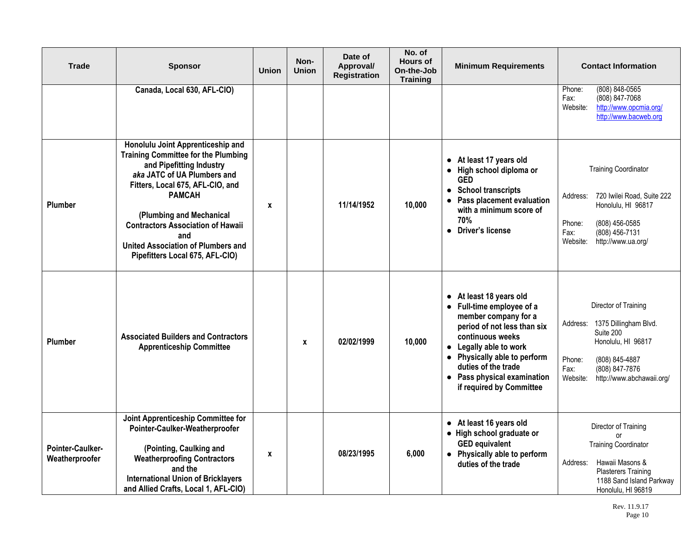| <b>Trade</b>                       | <b>Sponsor</b>                                                                                                                                                                                                                                                                                                                                                 | <b>Union</b> | Non-<br><b>Union</b> | Date of<br>Approval/<br><b>Registration</b> | No. of<br><b>Hours of</b><br>On-the-Job<br><b>Training</b> | <b>Minimum Requirements</b>                                                                                                                                                                                                                                                            | <b>Contact Information</b>                                                                                                                                                                  |
|------------------------------------|----------------------------------------------------------------------------------------------------------------------------------------------------------------------------------------------------------------------------------------------------------------------------------------------------------------------------------------------------------------|--------------|----------------------|---------------------------------------------|------------------------------------------------------------|----------------------------------------------------------------------------------------------------------------------------------------------------------------------------------------------------------------------------------------------------------------------------------------|---------------------------------------------------------------------------------------------------------------------------------------------------------------------------------------------|
|                                    | Canada, Local 630, AFL-CIO)                                                                                                                                                                                                                                                                                                                                    |              |                      |                                             |                                                            |                                                                                                                                                                                                                                                                                        | (808) 848-0565<br>Phone:<br>(808) 847-7068<br>Fax:<br>Website:<br>http://www.opcmia.org/<br>http://www.bacweb.org                                                                           |
| <b>Plumber</b>                     | Honolulu Joint Apprenticeship and<br><b>Training Committee for the Plumbing</b><br>and Pipefitting Industry<br>aka JATC of UA Plumbers and<br>Fitters, Local 675, AFL-CIO, and<br><b>PAMCAH</b><br>(Plumbing and Mechanical<br><b>Contractors Association of Hawaii</b><br>and<br><b>United Association of Plumbers and</b><br>Pipefitters Local 675, AFL-CIO) | X            |                      | 11/14/1952                                  | 10,000                                                     | • At least 17 years old<br>• High school diploma or<br><b>GED</b><br><b>School transcripts</b><br>$\bullet$<br>Pass placement evaluation<br>with a minimum score of<br>70%<br>• Driver's license                                                                                       | <b>Training Coordinator</b><br>720 Iwilei Road, Suite 222<br>Address:<br>Honolulu, HI 96817<br>Phone:<br>(808) 456-0585<br>$(808)$ 456-7131<br>Fax:<br>http://www.ua.org/<br>Website:       |
| <b>Plumber</b>                     | <b>Associated Builders and Contractors</b><br><b>Apprenticeship Committee</b>                                                                                                                                                                                                                                                                                  |              | $\mathbf{x}$         | 02/02/1999                                  | 10,000                                                     | • At least 18 years old<br>• Full-time employee of a<br>member company for a<br>period of not less than six<br>continuous weeks<br>• Legally able to work<br>Physically able to perform<br>$\bullet$<br>duties of the trade<br>• Pass physical examination<br>if required by Committee | Director of Training<br>1375 Dillingham Blvd.<br>Address:<br>Suite 200<br>Honolulu, HI 96817<br>Phone:<br>(808) 845-4887<br>Fax:<br>(808) 847-7876<br>Website:<br>http://www.abchawaii.org/ |
| Pointer-Caulker-<br>Weatherproofer | Joint Apprenticeship Committee for<br>Pointer-Caulker-Weatherproofer<br>(Pointing, Caulking and<br><b>Weatherproofing Contractors</b><br>and the<br><b>International Union of Bricklayers</b><br>and Allied Crafts, Local 1, AFL-CIO)                                                                                                                          | X            |                      | 08/23/1995                                  | 6,000                                                      | • At least 16 years old<br>• High school graduate or<br><b>GED equivalent</b><br>• Physically able to perform<br>duties of the trade                                                                                                                                                   | Director of Training<br>or<br><b>Training Coordinator</b><br>Hawaii Masons &<br>Address:<br><b>Plasterers Training</b><br>1188 Sand Island Parkway<br>Honolulu, HI 96819                    |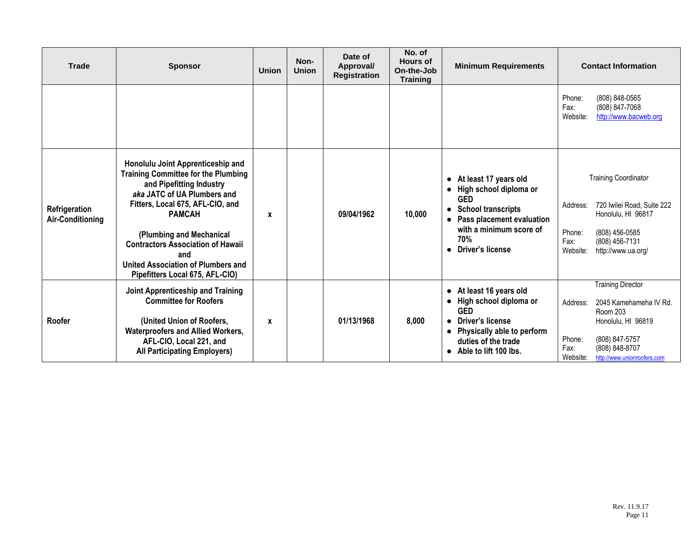| <b>Trade</b>                             | <b>Sponsor</b>                                                                                                                                                                                                                                                                                                                                          | <b>Union</b> | Non-<br><b>Union</b> | Date of<br>Approval/<br><b>Registration</b> | No. of<br><b>Hours of</b><br>On-the-Job<br><b>Training</b> | <b>Minimum Requirements</b>                                                                                                                                                                        | <b>Contact Information</b>                                                                                                                                                                               |
|------------------------------------------|---------------------------------------------------------------------------------------------------------------------------------------------------------------------------------------------------------------------------------------------------------------------------------------------------------------------------------------------------------|--------------|----------------------|---------------------------------------------|------------------------------------------------------------|----------------------------------------------------------------------------------------------------------------------------------------------------------------------------------------------------|----------------------------------------------------------------------------------------------------------------------------------------------------------------------------------------------------------|
|                                          |                                                                                                                                                                                                                                                                                                                                                         |              |                      |                                             |                                                            |                                                                                                                                                                                                    | (808) 848-0565<br>Phone:<br>Fax:<br>(808) 847-7068<br>Website:<br>http://www.bacweb.org                                                                                                                  |
| Refrigeration<br><b>Air-Conditioning</b> | Honolulu Joint Apprenticeship and<br><b>Training Committee for the Plumbing</b><br>and Pipefitting Industry<br>aka JATC of UA Plumbers and<br>Fitters, Local 675, AFL-CIO, and<br><b>PAMCAH</b><br>(Plumbing and Mechanical<br><b>Contractors Association of Hawaii</b><br>and<br>United Association of Plumbers and<br>Pipefitters Local 675, AFL-CIO) | X            |                      | 09/04/1962                                  | 10,000                                                     | • At least 17 years old<br>High school diploma or<br><b>GED</b><br><b>School transcripts</b><br>$\bullet$<br>Pass placement evaluation<br>with a minimum score of<br>70%<br>Driver's license       | <b>Training Coordinator</b><br>720 Iwilei Road, Suite 222<br>Address:<br>Honolulu, HI 96817<br>(808) 456-0585<br>Phone:<br>Fax:<br>(808) 456-7131<br>Website:<br>http://www.ua.org/                      |
| <b>Roofer</b>                            | Joint Apprenticeship and Training<br><b>Committee for Roofers</b><br>(United Union of Roofers,<br><b>Waterproofers and Allied Workers,</b><br>AFL-CIO, Local 221, and<br><b>All Participating Employers)</b>                                                                                                                                            | X            |                      | 01/13/1968                                  | 8,000                                                      | • At least 16 years old<br>High school diploma or<br>$\bullet$<br><b>GED</b><br><b>Driver's license</b><br>Physically able to perform<br>$\bullet$<br>duties of the trade<br>Able to lift 100 lbs. | <b>Training Director</b><br>2045 Kamehameha IV Rd.<br>Address:<br><b>Room 203</b><br>Honolulu, HI 96819<br>(808) 847-5757<br>Phone:<br>Fax:<br>(808) 848-8707<br>Website:<br>http://www.unionroofers.com |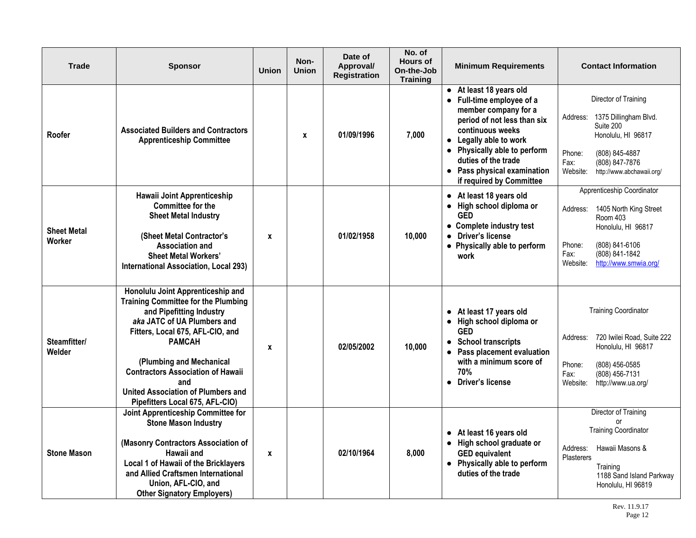| <b>Trade</b>                 | <b>Sponsor</b>                                                                                                                                                                                                                                                                                                                                                 | <b>Union</b> | Non-<br><b>Union</b> | Date of<br>Approval/<br><b>Registration</b> | No. of<br><b>Hours of</b><br>On-the-Job<br><b>Training</b> | <b>Minimum Requirements</b>                                                                                                                                                                                                                                                 | <b>Contact Information</b>                                                                                                                                                                    |
|------------------------------|----------------------------------------------------------------------------------------------------------------------------------------------------------------------------------------------------------------------------------------------------------------------------------------------------------------------------------------------------------------|--------------|----------------------|---------------------------------------------|------------------------------------------------------------|-----------------------------------------------------------------------------------------------------------------------------------------------------------------------------------------------------------------------------------------------------------------------------|-----------------------------------------------------------------------------------------------------------------------------------------------------------------------------------------------|
| Roofer                       | <b>Associated Builders and Contractors</b><br><b>Apprenticeship Committee</b>                                                                                                                                                                                                                                                                                  |              | $\mathbf{x}$         | 01/09/1996                                  | 7,000                                                      | • At least 18 years old<br>• Full-time employee of a<br>member company for a<br>period of not less than six<br>continuous weeks<br>• Legally able to work<br>• Physically able to perform<br>duties of the trade<br>• Pass physical examination<br>if required by Committee | Director of Training<br>Address:<br>1375 Dillingham Blvd.<br>Suite 200<br>Honolulu, HI 96817<br>Phone:<br>(808) 845-4887<br>Fax:<br>(808) 847-7876<br>Website:<br>http://www.abchawaii.org/   |
| <b>Sheet Metal</b><br>Worker | Hawaii Joint Apprenticeship<br><b>Committee for the</b><br><b>Sheet Metal Industry</b><br>(Sheet Metal Contractor's<br><b>Association and</b><br><b>Sheet Metal Workers'</b><br><b>International Association, Local 293)</b>                                                                                                                                   | X            |                      | 01/02/1958                                  | 10,000                                                     | • At least 18 years old<br>• High school diploma or<br><b>GED</b><br>• Complete industry test<br>• Driver's license<br>• Physically able to perform<br>work                                                                                                                 | Apprenticeship Coordinator<br>1405 North King Street<br>Address:<br>Room 403<br>Honolulu, HI 96817<br>Phone:<br>(808) 841-6106<br>Fax:<br>(808) 841-1842<br>Website:<br>http://www.smwia.org/ |
| Steamfitter/<br>Welder       | Honolulu Joint Apprenticeship and<br><b>Training Committee for the Plumbing</b><br>and Pipefitting Industry<br>aka JATC of UA Plumbers and<br>Fitters, Local 675, AFL-CIO, and<br><b>PAMCAH</b><br>(Plumbing and Mechanical<br><b>Contractors Association of Hawaii</b><br>and<br><b>United Association of Plumbers and</b><br>Pipefitters Local 675, AFL-CIO) | X            |                      | 02/05/2002                                  | 10,000                                                     | • At least 17 years old<br>High school diploma or<br>$\bullet$<br><b>GED</b><br><b>School transcripts</b><br>$\bullet$<br>• Pass placement evaluation<br>with a minimum score of<br>70%<br>• Driver's license                                                               | <b>Training Coordinator</b><br>720 Iwilei Road, Suite 222<br>Address:<br>Honolulu, HI 96817<br>Phone:<br>(808) 456-0585<br>Fax:<br>(808) 456-7131<br>Website:<br>http://www.ua.org/           |
| <b>Stone Mason</b>           | Joint Apprenticeship Committee for<br><b>Stone Mason Industry</b><br>(Masonry Contractors Association of<br>Hawaii and<br>Local 1 of Hawaii of the Bricklayers<br>and Allied Craftsmen International<br>Union, AFL-CIO, and<br><b>Other Signatory Employers)</b>                                                                                               | X            |                      | 02/10/1964                                  | 8,000                                                      | • At least 16 years old<br>• High school graduate or<br><b>GED equivalent</b><br>• Physically able to perform<br>duties of the trade                                                                                                                                        | Director of Training<br>or<br><b>Training Coordinator</b><br>Hawaii Masons &<br>Address:<br><b>Plasterers</b><br>Training<br>1188 Sand Island Parkway<br>Honolulu, HI 96819                   |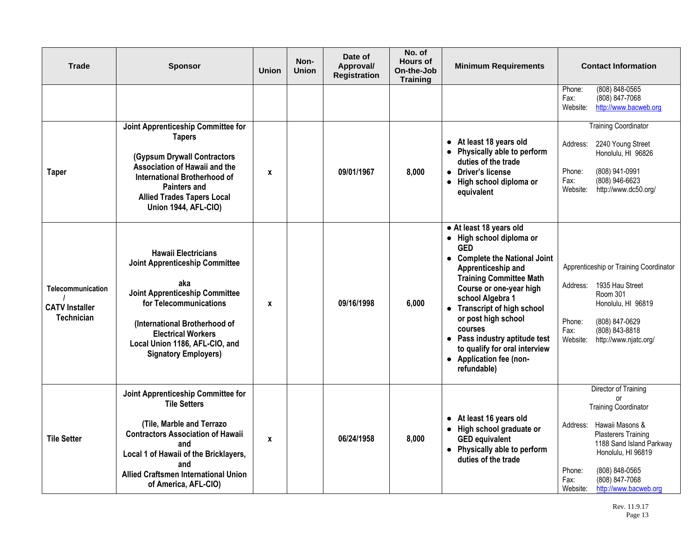| Trade                                                           | <b>Sponsor</b>                                                                                                                                                                                                                                                               | <b>Union</b> | Non-<br><b>Union</b> | Date of<br>Approval/<br><b>Registration</b> | No. of<br><b>Hours of</b><br>On-the-Job<br><b>Training</b> | <b>Minimum Requirements</b>                                                                                                                                                                                                                                                                                                                                                                       | <b>Contact Information</b>                                                                                                                                                                                                                                          |
|-----------------------------------------------------------------|------------------------------------------------------------------------------------------------------------------------------------------------------------------------------------------------------------------------------------------------------------------------------|--------------|----------------------|---------------------------------------------|------------------------------------------------------------|---------------------------------------------------------------------------------------------------------------------------------------------------------------------------------------------------------------------------------------------------------------------------------------------------------------------------------------------------------------------------------------------------|---------------------------------------------------------------------------------------------------------------------------------------------------------------------------------------------------------------------------------------------------------------------|
|                                                                 |                                                                                                                                                                                                                                                                              |              |                      |                                             |                                                            |                                                                                                                                                                                                                                                                                                                                                                                                   | (808) 848-0565<br>Phone:<br>(808) 847-7068<br>Fax:<br>http://www.bacweb.org<br>Website:                                                                                                                                                                             |
| <b>Taper</b>                                                    | Joint Apprenticeship Committee for<br><b>Tapers</b><br><b>(Gypsum Drywall Contractors</b><br>Association of Hawaii and the<br><b>International Brotherhood of</b><br><b>Painters and</b><br><b>Allied Trades Tapers Local</b><br><b>Union 1944, AFL-CIO)</b>                 | X            |                      | 09/01/1967                                  | 8,000                                                      | • At least 18 years old<br>• Physically able to perform<br>duties of the trade<br>Driver's license<br>$\bullet$<br>High school diploma or<br>$\bullet$<br>equivalent                                                                                                                                                                                                                              | <b>Training Coordinator</b><br>2240 Young Street<br>Address:<br>Honolulu, HI 96826<br>(808) 941-0991<br>Phone:<br>(808) 946-6623<br>Fax:<br>Website:<br>http://www.dc50.org/                                                                                        |
| Telecommunication<br><b>CATV Installer</b><br><b>Technician</b> | <b>Hawaii Electricians</b><br><b>Joint Apprenticeship Committee</b><br>aka<br><b>Joint Apprenticeship Committee</b><br>for Telecommunications<br>(International Brotherhood of<br><b>Electrical Workers</b><br>Local Union 1186, AFL-CIO, and<br><b>Signatory Employers)</b> | X            |                      | 09/16/1998                                  | 6,000                                                      | • At least 18 years old<br>• High school diploma or<br><b>GFD</b><br>• Complete the National Joint<br>Apprenticeship and<br><b>Training Committee Math</b><br>Course or one-year high<br>school Algebra 1<br>• Transcript of high school<br>or post high school<br>courses<br>Pass industry aptitude test<br>$\bullet$<br>to qualify for oral interview<br>• Application fee (non-<br>refundable) | Apprenticeship or Training Coordinator<br>1935 Hau Street<br>Address:<br><b>Room 301</b><br>Honolulu, HI 96819<br>(808) 847-0629<br>Phone:<br>(808) 843-8818<br>Fax:<br>http://www.njatc.org/<br>Website:                                                           |
| <b>Tile Setter</b>                                              | Joint Apprenticeship Committee for<br><b>Tile Setters</b><br>(Tile, Marble and Terrazo<br><b>Contractors Association of Hawaii</b><br>and<br>Local 1 of Hawaii of the Bricklayers,<br>and<br>Allied Craftsmen International Union<br>of America, AFL-CIO)                    | X            |                      | 06/24/1958                                  | 8,000                                                      | • At least 16 years old<br>• High school graduate or<br><b>GED equivalent</b><br>• Physically able to perform<br>duties of the trade                                                                                                                                                                                                                                                              | Director of Training<br>or<br><b>Training Coordinator</b><br>Hawaii Masons &<br>Address:<br><b>Plasterers Training</b><br>1188 Sand Island Parkway<br>Honolulu, HI 96819<br>(808) 848-0565<br>Phone:<br>(808) 847-7068<br>Fax:<br>Website:<br>http://www.bacweb.org |